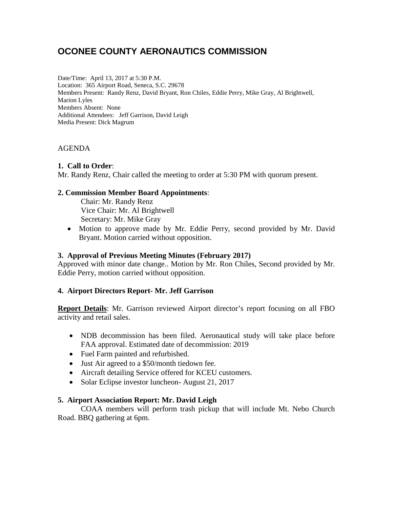# **OCONEE COUNTY AERONAUTICS COMMISSION**

Date/Time: April 13, 2017 at 5:30 P.M. Location: 365 Airport Road, Seneca, S.C. 29678 Members Present: Randy Renz, David Bryant, Ron Chiles, Eddie Perry, Mike Gray, Al Brightwell, Marion Lyles Members Absent: None Additional Attendees: Jeff Garrison, David Leigh Media Present: Dick Magrum

# AGENDA

## **1. Call to Order**:

Mr. Randy Renz, Chair called the meeting to order at 5:30 PM with quorum present.

## **2. Commission Member Board Appointments**:

Chair: Mr. Randy Renz Vice Chair: Mr. Al Brightwell Secretary: Mr. Mike Gray

• Motion to approve made by Mr. Eddie Perry, second provided by Mr. David Bryant. Motion carried without opposition.

## **3. Approval of Previous Meeting Minutes (February 2017)**

Approved with minor date change.. Motion by Mr. Ron Chiles, Second provided by Mr. Eddie Perry, motion carried without opposition.

## **4. Airport Directors Report- Mr. Jeff Garrison**

**Report Details**: Mr. Garrison reviewed Airport director's report focusing on all FBO activity and retail sales.

- NDB decommission has been filed. Aeronautical study will take place before FAA approval. Estimated date of decommission: 2019
- Fuel Farm painted and refurbished.
- Just Air agreed to a \$50/month tiedown fee.
- Aircraft detailing Service offered for KCEU customers.
- Solar Eclipse investor luncheon-August 21, 2017

## **5. Airport Association Report: Mr. David Leigh**

COAA members will perform trash pickup that will include Mt. Nebo Church Road. BBQ gathering at 6pm.